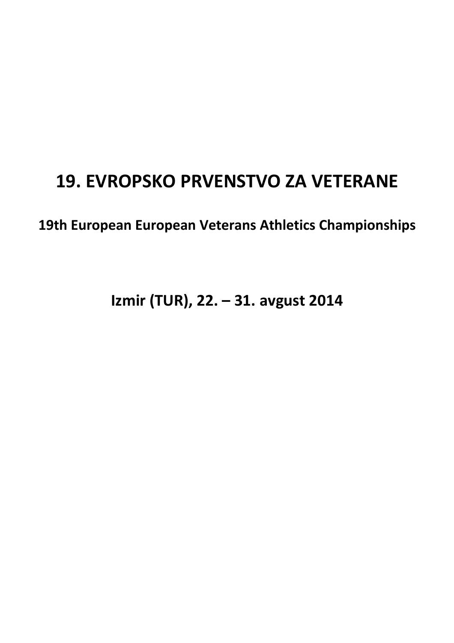# **19. EVROPSKO PRVENSTVO ZA VETERANE**

**19th European European Veterans Athletics Championships** 

**Izmir (TUR), 22. – 31. avgust 2014**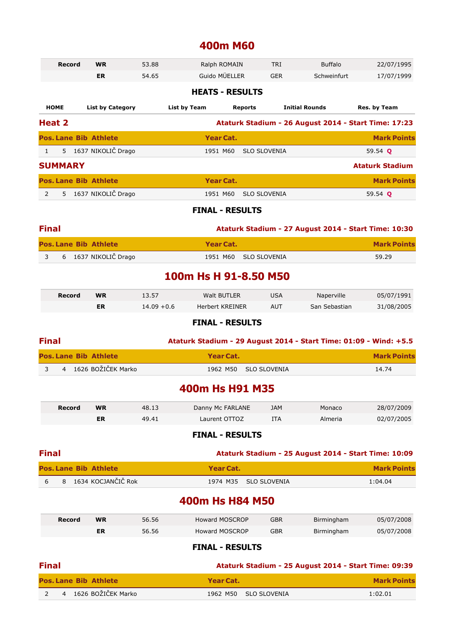### **400m M60**

|                | <b>Record</b>  | <b>WR</b>                    | 53.88         | Ralph ROMAIN           |                     | <b>TRI</b>          | <b>Buffalo</b>                                                    | 22/07/1995             |
|----------------|----------------|------------------------------|---------------|------------------------|---------------------|---------------------|-------------------------------------------------------------------|------------------------|
|                |                | <b>ER</b>                    | 54.65         | Guido MÜELLER          |                     | <b>GER</b>          | Schweinfurt                                                       | 17/07/1999             |
|                |                |                              |               | <b>HEATS - RESULTS</b> |                     |                     |                                                                   |                        |
|                | <b>HOME</b>    | <b>List by Category</b>      |               | <b>List by Team</b>    | <b>Reports</b>      |                     | <b>Initial Rounds</b>                                             | Res. by Team           |
|                | Heat 2         |                              |               |                        |                     |                     | Ataturk Stadium - 26 August 2014 - Start Time: 17:23              |                        |
|                |                | <b>Pos. Lane Bib Athlete</b> |               | <b>Year Cat.</b>       |                     |                     |                                                                   | <b>Mark Points</b>     |
| 1              |                | 5 1637 NIKOLIČ Drago         |               | 1951 M60               | <b>SLO SLOVENIA</b> |                     |                                                                   | 59.54 Q                |
|                | <b>SUMMARY</b> |                              |               |                        |                     |                     |                                                                   | <b>Ataturk Stadium</b> |
|                |                | <b>Pos. Lane Bib Athlete</b> |               | <b>Year Cat.</b>       |                     |                     |                                                                   | <b>Mark Points</b>     |
| $\overline{2}$ |                | 5 1637 NIKOLIČ Drago         |               | 1951 M60               | <b>SLO SLOVENIA</b> |                     |                                                                   | 59.54 Q                |
|                |                |                              |               | <b>FINAL - RESULTS</b> |                     |                     |                                                                   |                        |
| <b>Final</b>   |                |                              |               |                        |                     |                     | Ataturk Stadium - 27 August 2014 - Start Time: 10:30              |                        |
|                |                | <b>Pos. Lane Bib Athlete</b> |               | <b>Year Cat.</b>       |                     |                     |                                                                   | <b>Mark Points</b>     |
| 3              |                | 6 1637 NIKOLIČ Drago         |               | 1951 M60               | <b>SLO SLOVENIA</b> |                     |                                                                   | 59.29                  |
|                |                |                              |               | 100m Hs H 91-8.50 M50  |                     |                     |                                                                   |                        |
|                |                |                              |               |                        |                     |                     |                                                                   |                        |
|                | <b>Record</b>  | <b>WR</b>                    | 13.57         | <b>Walt BUTLER</b>     |                     | <b>USA</b>          | Naperville                                                        | 05/07/1991             |
|                |                | <b>ER</b>                    | $14.09 + 0.6$ | <b>Herbert KREINER</b> |                     | <b>AUT</b>          | San Sebastian                                                     | 31/08/2005             |
|                |                |                              |               | <b>FINAL - RESULTS</b> |                     |                     |                                                                   |                        |
| <b>Final</b>   |                |                              |               |                        |                     |                     | Ataturk Stadium - 29 August 2014 - Start Time: 01:09 - Wind: +5.5 |                        |
|                |                | <b>Pos. Lane Bib Athlete</b> |               | <b>Year Cat.</b>       |                     |                     |                                                                   | <b>Mark Points</b>     |
| 3              |                | 4 1626 BOŽIČEK Marko         |               | 1962 M50               |                     | <b>SLO SLOVENIA</b> |                                                                   | 14.74                  |
|                |                |                              |               | 400m Hs H91 M35        |                     |                     |                                                                   |                        |
|                | <b>Record</b>  | <b>WR</b>                    | 48.13         | Danny Mc FARLANE       |                     | <b>JAM</b>          | Monaco                                                            | 28/07/2009             |
|                |                | ER                           | 49.41         | Laurent OTTOZ          |                     | <b>ITA</b>          | Almeria                                                           | 02/07/2005             |
|                |                |                              |               | <b>FINAL - RESULTS</b> |                     |                     |                                                                   |                        |
| <b>Final</b>   |                |                              |               |                        |                     |                     | Ataturk Stadium - 25 August 2014 - Start Time: 10:09              |                        |
|                |                | <b>Pos. Lane Bib Athlete</b> |               | <b>Year Cat.</b>       |                     |                     |                                                                   | <b>Mark Points</b>     |
| 6              | 8              | 1634 KOCJANČIČ Rok           |               | 1974 M35               |                     | <b>SLO SLOVENIA</b> |                                                                   | 1:04.04                |
|                |                |                              |               | 400m Hs H84 M50        |                     |                     |                                                                   |                        |
|                | <b>Record</b>  | <b>WR</b>                    | 56.56         | <b>Howard MOSCROP</b>  |                     | <b>GBR</b>          | Birmingham                                                        | 05/07/2008             |
|                |                | ER                           | 56.56         | <b>Howard MOSCROP</b>  |                     | <b>GBR</b>          | Birmingham                                                        | 05/07/2008             |
|                |                |                              |               | <b>FINAL - RESULTS</b> |                     |                     |                                                                   |                        |
| <b>Final</b>   |                |                              |               |                        |                     |                     | Ataturk Stadium - 25 August 2014 - Start Time: 09:39              |                        |
|                |                | <b>Pos. Lane Bib Athlete</b> |               | Year Cat.              |                     |                     |                                                                   | <b>Mark Points</b>     |

2 4 1626 BOŽIČEK Marko 1962 M50 SLO SLOVENIA 1:02.01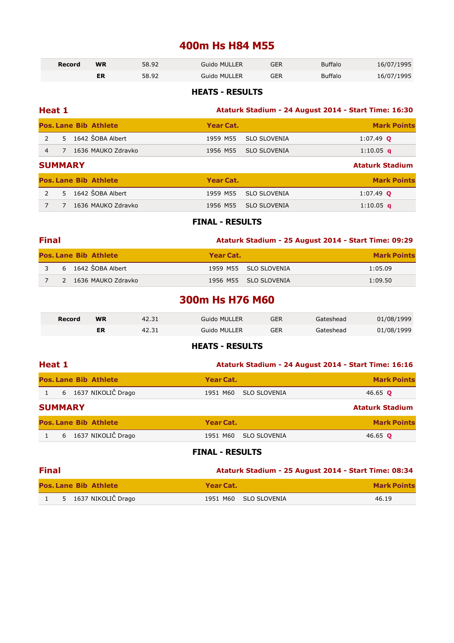### **400m Hs H84 M55**

| Record | <b>WR</b> | 58.92 | <b>Guido MULLER</b> | GER | <b>Buffalo</b> | 16/07/1995 |
|--------|-----------|-------|---------------------|-----|----------------|------------|
|        | ΕR        | 58.92 | Guido MULLER        | GER | <b>Buffalo</b> | 16/07/1995 |

#### **HEATS - RESULTS**

| Heat 1                                  | Ataturk Stadium - 24 August 2014 - Start Time: 16:30 |                        |  |  |  |  |  |
|-----------------------------------------|------------------------------------------------------|------------------------|--|--|--|--|--|
| <b>Pos. Lane Bib Athlete</b>            | Year Cat.                                            | <b>Mark Points</b>     |  |  |  |  |  |
| 1642 ŠOBA Albert<br>$\mathcal{L}$<br>5. | <b>SLO SLOVENIA</b><br>1959 M55                      | $1:07.49$ Q            |  |  |  |  |  |
| 1636 MAUKO Zdravko<br>$\overline{4}$    | <b>SLO SLOVENIA</b><br>1956 M55                      | 1:10.05 <b>q</b>       |  |  |  |  |  |
| <b>SUMMARY</b>                          |                                                      | <b>Ataturk Stadium</b> |  |  |  |  |  |
| <b>Pos. Lane Bib Athlete</b>            | <b>Year Cat.</b>                                     | <b>Mark Points</b>     |  |  |  |  |  |
| 1642 ŠOBA Albert<br>$\overline{2}$<br>5 | <b>SLO SLOVENIA</b><br>1959 M55                      | $1:07.49$ Q            |  |  |  |  |  |
| 1636 MAUKO Zdravko<br>7                 | <b>SLO SLOVENIA</b><br>1956 M55                      | 1:10.05 <b>q</b>       |  |  |  |  |  |

#### **FINAL - RESULTS**

| <b>Final</b> | Ataturk Stadium - 25 August 2014 - Start Time: 09:29 |                       |                    |  |  |  |
|--------------|------------------------------------------------------|-----------------------|--------------------|--|--|--|
|              | <b>Pos. Lane Bib Athlete</b>                         | Year Cat.             | <b>Mark Points</b> |  |  |  |
|              | 3 6 1642 ŠOBA Albert                                 | 1959 M55 SLO SLOVENIA | 1:05.09            |  |  |  |
|              | 7 2 1636 MAUKO Zdravko                               | 1956 M55 SLO SLOVENIA | 1:09.50            |  |  |  |

### **300m Hs H76 M60**

| Record | <b>WR</b> | 42.31 | Guido MULLER | GER | Gateshead | 01/08/1999 |
|--------|-----------|-------|--------------|-----|-----------|------------|
|        | ER        | 42.31 | Guido MULLER | GER | Gateshead | 01/08/1999 |

#### **HEATS - RESULTS**

| <b>Heat 1</b>                |                                 | Ataturk Stadium - 24 August 2014 - Start Time: 16:16 |  |  |  |  |  |  |
|------------------------------|---------------------------------|------------------------------------------------------|--|--|--|--|--|--|
| <b>Pos. Lane Bib Athlete</b> | Year Cat.                       | <b>Mark Points</b>                                   |  |  |  |  |  |  |
| 6 1637 NIKOLIČ Drago         | <b>SLO SLOVENIA</b><br>1951 M60 | 46.65 <b>Q</b>                                       |  |  |  |  |  |  |
| <b>SUMMARY</b>               |                                 | <b>Ataturk Stadium</b>                               |  |  |  |  |  |  |
| <b>Pos. Lane Bib Athlete</b> | Year Cat.                       | <b>Mark Points</b>                                   |  |  |  |  |  |  |
| 1637 NIKOLIČ Drago<br>6      | <b>SLO SLOVENIA</b><br>1951 M60 | 46.65 <b>Q</b>                                       |  |  |  |  |  |  |
|                              |                                 |                                                      |  |  |  |  |  |  |

#### **FINAL - RESULTS**

| <b>Final</b><br>Ataturk Stadium - 25 August 2014 - Start Time: 08:34 |                              |                       |                    |  |  |
|----------------------------------------------------------------------|------------------------------|-----------------------|--------------------|--|--|
|                                                                      | <b>Pos. Lane Bib Athlete</b> | Year Cat.             | <b>Mark Points</b> |  |  |
|                                                                      | 5 1637 NIKOLIČ Drago         | 1951 M60 SLO SLOVENIA | 46.19              |  |  |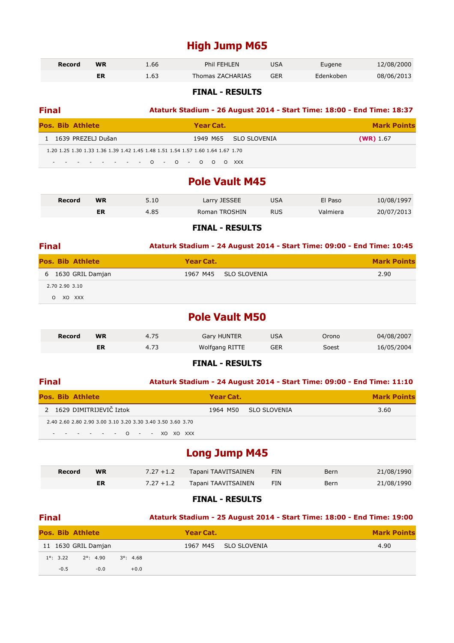### **High Jump M65**

| Record | WR | 1.66 | Phil FEHLEN             | JSA | Eugene    | 12/08/2000 |
|--------|----|------|-------------------------|-----|-----------|------------|
|        |    | 1.63 | <b>Thomas ZACHARIAS</b> | GER | Edenkoben | 08/06/2013 |

#### **FINAL - RESULTS**

| <b>Final</b>            |                                                                                                                        |  |  |  |  |  | Ataturk Stadium - 26 August 2014 - Start Time: 18:00 - End Time: 18:37 |  |  |           |  |  |  |                       |  |             |  |
|-------------------------|------------------------------------------------------------------------------------------------------------------------|--|--|--|--|--|------------------------------------------------------------------------|--|--|-----------|--|--|--|-----------------------|--|-------------|--|
| <b>Pos. Bib Athlete</b> |                                                                                                                        |  |  |  |  |  |                                                                        |  |  | Year Cat. |  |  |  | <b>Mark Points</b>    |  |             |  |
|                         | 1 1639 PREZELJ Dušan                                                                                                   |  |  |  |  |  |                                                                        |  |  |           |  |  |  | 1949 M65 SLO SLOVENIA |  | $(WR)$ 1.67 |  |
|                         | 1.20 1.25 1.30 1.33 1.36 1.39 1.42 1.45 1.48 1.51 1.54 1.57 1.60 1.64 1.67 1.70<br>- - - - - - - - - 0 - 0 - 0 0 0 XXX |  |  |  |  |  |                                                                        |  |  |           |  |  |  |                       |  |             |  |

### **Pole Vault M45**

| Record | <b>WR</b> | 5.10 | Larry JESSEE<br>JSA  |            | El Paso  | 10/08/1997 |
|--------|-----------|------|----------------------|------------|----------|------------|
|        | ER        | 4.85 | <b>Roman TROSHIN</b> | <b>RUS</b> | Valmiera | 20/07/2013 |

#### **FINAL - RESULTS**

| <b>Final</b>            | Ataturk Stadium - 24 August 2014 - Start Time: 09:00 - End Time: 10:45 |                    |  |  |  |  |  |
|-------------------------|------------------------------------------------------------------------|--------------------|--|--|--|--|--|
| <b>Pos. Bib Athlete</b> | Year Cat.                                                              | <b>Mark Points</b> |  |  |  |  |  |
| 6 1630 GRIL Damjan      | SLO SLOVENIA<br>1967 M45                                               | 2.90               |  |  |  |  |  |
| 2.70 2.90 3.10          |                                                                        |                    |  |  |  |  |  |
| XO XXX<br>$\Omega$      |                                                                        |                    |  |  |  |  |  |
|                         |                                                                        |                    |  |  |  |  |  |

### **Pole Vault M50**

| <b>Record</b> | <b>WR</b> | <b>Gary HUNTER</b> | JSA | Orono | 04/08/2007 |
|---------------|-----------|--------------------|-----|-------|------------|
|               |           | Wolfgang RITTE     | GER | Soest | 16/05/2004 |

#### **FINAL - RESULTS**

#### **Final Ataturk Stadium - 24 August 2014 - Start Time: 09:00 - End Time: 11:10**

| <b>Pos. Bib Athlete</b> |                                                             | Year Cat.             | <b>Mark Points</b> |
|-------------------------|-------------------------------------------------------------|-----------------------|--------------------|
|                         | 2    1629  DIMITRIJEVIČ Iztok                               | 1964 M50 SLO SLOVENIA | 3.60               |
|                         | 2.40 2.60 2.80 2.90 3.00 3.10 3.20 3.30 3.40 3.50 3.60 3.70 |                       |                    |
|                         | - - - - - - - 0 - - XO XO XXX                               |                       |                    |

### **Long Jump M45**

| Record | <b>WR</b> | $7.27 + 1.2$ | Tapani TAAVITSAINEN | <b>FIN</b> | <b>Bern</b> | 21/08/1990 |
|--------|-----------|--------------|---------------------|------------|-------------|------------|
|        | ER        | $7.27 + 1.2$ | Tapani TAAVITSAINEN | <b>FIN</b> | Bern        | 21/08/1990 |

#### **FINAL - RESULTS**

### **Final Ataturk Stadium - 25 August 2014 - Start Time: 18:00 - End Time: 19:00 Pos. Bib Athlete Year Cat.** Mark **Points** 11 1630 GRIL Damjan 1967 M45 SLO SLOVENIA 4.90 1°: 3.22 2°: 4.90 3°: 4.68  $-0.5$   $-0.0$   $+0.0$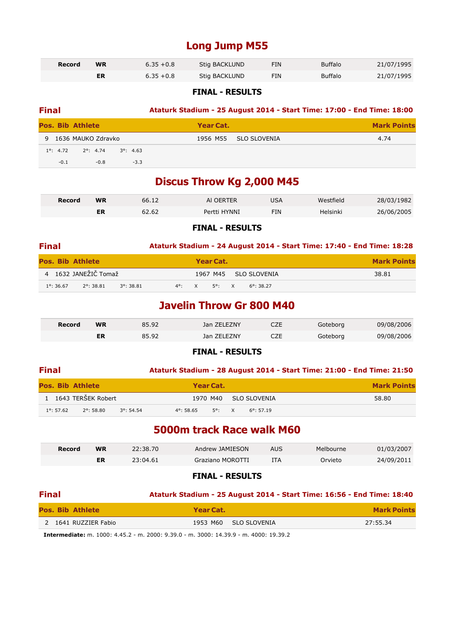### **Long Jump M55**

| Record | <b>WR</b><br>$6.35 + 0.8$ |              | Stig BACKLUND | FIN | <b>Buffalo</b> | 21/07/1995 |
|--------|---------------------------|--------------|---------------|-----|----------------|------------|
|        |                           | $6.35 + 0.8$ | Stig BACKLUND | FIN | <b>Buffalo</b> | 21/07/1995 |

#### **FINAL - RESULTS**

| <b>Final</b>       |        |                         |                    |                  |              | Ataturk Stadium - 25 August 2014 - Start Time: 17:00 - End Time: 18:00 |
|--------------------|--------|-------------------------|--------------------|------------------|--------------|------------------------------------------------------------------------|
|                    |        | <b>Pos. Bib Athlete</b> |                    | <b>Year Cat.</b> |              | <b>Mark Points</b>                                                     |
|                    |        | 9 1636 MAUKO Zdravko    |                    | 1956 M55         | SLO SLOVENIA | 4.74                                                                   |
| $1^{\circ}$ : 4.72 |        | $2^{\circ}$ : 4.74      | $3^{\circ}$ : 4.63 |                  |              |                                                                        |
|                    | $-0.1$ | $-0.8$                  | $-3.3$             |                  |              |                                                                        |

### **Discus Throw Kg 2,000 M45**

| Record | <b>WR</b> | 66.12 | AI OERTER    | JSA | Westfield | 28/03/1982 |
|--------|-----------|-------|--------------|-----|-----------|------------|
|        | ER        | 62.62 | Pertti HYNNI | FIN | Helsinki  | 26/06/2005 |

#### **FINAL - RESULTS**

| <b>Final</b>                                                      | Ataturk Stadium - 24 August 2014 - Start Time: 17:40 - End Time: 18:28 |                    |
|-------------------------------------------------------------------|------------------------------------------------------------------------|--------------------|
| <b>Pos. Bib Athlete</b>                                           | Year Cat.                                                              | <b>Mark Points</b> |
| 4 1632 JANEŽIČ Tomaž                                              | 1967 M45 SLO SLOVENIA                                                  | 38.81              |
| $2^{\circ}$ : 38.81<br>$1^{\circ}$ : 36.67<br>$3^{\circ}$ : 38.81 | 4°: X 5°: X<br>$6^{\circ}$ : 38.27                                     |                    |

### **Javelin Throw Gr 800 M40**

| Record | <b>WR</b> | 85.92 | Jan ZELEZNY | ᆫᄼ        | Gotebora | 09/08/2006 |
|--------|-----------|-------|-------------|-----------|----------|------------|
|        |           | 85.92 | Jan ZELEZNY | ヘフロ<br>ᆫᄼ | Goteborg | 09/08/2006 |

#### **FINAL - RESULTS**

| <b>Final</b>            |           |                                            |           |                     | Ataturk Stadium - 28 August 2014 - Start Time: 21:00 - End Time: 21:50 |                    |
|-------------------------|-----------|--------------------------------------------|-----------|---------------------|------------------------------------------------------------------------|--------------------|
| <b>Pos. Bib Athlete</b> |           |                                            | Year Cat. |                     |                                                                        | <b>Mark Points</b> |
| 1 1643 TERŠEK Robert    |           |                                            | 1970 M40  | SLO SLOVENIA        |                                                                        | 58.80              |
| $1^{\circ}$ : 57.62     | 2°: 58.80 | $3^{\circ}$ : 54.54<br>$4^{\circ}$ : 58.65 | 5°: X     | $6^{\circ}$ : 57.19 |                                                                        |                    |

### **5000m track Race walk M60**

| Record | <b>WR</b> | 22:38.70 | Andrew JAMIESON  | AUS | Melbourne | 01/03/2007 |
|--------|-----------|----------|------------------|-----|-----------|------------|
|        | ER        | 23:04.61 | Graziano MOROTTI | ITA | Orvieto   | 24/09/2011 |

#### **FINAL - RESULTS**

### **Final Ataturk Stadium - 25 August 2014 - Start Time: 16:56 - End Time: 18:40 Pos. Bib Athlete Year Cat. Mark Points**

| - רביווניה מוש                                                                                   | . |                       | THEN VIILS |  |  |  |  |
|--------------------------------------------------------------------------------------------------|---|-----------------------|------------|--|--|--|--|
| 2 1641 RUZZIER Fabio                                                                             |   | 1953 M60 SLO SLOVENIA | 27:55.34   |  |  |  |  |
| <b>Intermediate:</b> m $1000:4452 \cdot m$ $2000:9300 \cdot m$ $3000:14300 \cdot m$ $4000:10302$ |   |                       |            |  |  |  |  |

**Intermediate:** m. 1000: 4.45.2 - m. 2000: 9.39.0 - m. 3000: 14.39.9 - m. 4000: 19.39.2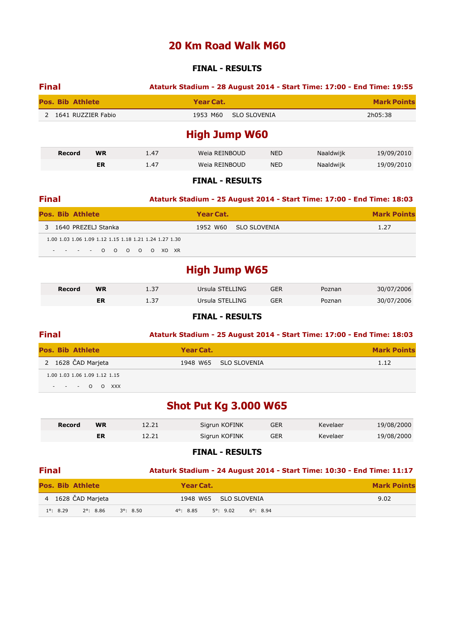### **20 Km Road Walk M60**

#### **FINAL - RESULTS**

| <b>Final</b>            | Ataturk Stadium - 28 August 2014 - Start Time: 17:00 - End Time: 19:55 |                    |
|-------------------------|------------------------------------------------------------------------|--------------------|
| <b>Pos. Bib Athlete</b> | Year Cat.                                                              | <b>Mark Points</b> |
| 2 1641 RUZZIER Fabio    | SLO SLOVENIA<br>1953 M60                                               | 2h05:38            |
|                         | High Tumn W <sub>60</sub>                                              |                    |

### **High Jump W60**

| Record | <b>WR</b> | 1.47 | Weia REINBOUD | <b>NED</b> | Naaldwijk | 19/09/2010 |
|--------|-----------|------|---------------|------------|-----------|------------|
|        | ER        | 1.47 | Weia REINBOUD | <b>NED</b> | Naaldwijk | 19/09/2010 |

#### **FINAL - RESULTS**

| <b>Final</b>                                                                          | Ataturk Stadium - 25 August 2014 - Start Time: 17:00 - End Time: 18:03 |                    |
|---------------------------------------------------------------------------------------|------------------------------------------------------------------------|--------------------|
| <b>Pos. Bib Athlete</b>                                                               | Year Cat.                                                              | <b>Mark Points</b> |
| 3 1640 PREZELJ Stanka                                                                 | 1952 W60 SLO SLOVENIA                                                  | 1.27               |
| 1.00 1.03 1.06 1.09 1.12 1.15 1.18 1.21 1.24 1.27 1.30<br>$- - - - 0 0 0 0 0 0 0 0 0$ |                                                                        |                    |

## **High Jump W65**

| Record | <b>WR</b> | - 27<br>. د . ۱ | Ursula STELLING | GER | Poznan | 30/07/2006 |
|--------|-----------|-----------------|-----------------|-----|--------|------------|
|        | ER        | ، ب⊥            | Ursula STELLING | GER | Poznan | 30/07/2006 |

#### **FINAL - RESULTS**

| <b>Final</b>                                     | Ataturk Stadium - 25 August 2014 - Start Time: 17:00 - End Time: 18:03 |                    |
|--------------------------------------------------|------------------------------------------------------------------------|--------------------|
| <b>Pos. Bib Athlete</b>                          | Year Cat.                                                              | <b>Mark Points</b> |
| 2 1628 ČAD Marjeta                               | 1948 W65 SLO SLOVENIA                                                  | 1.12               |
| 1.00 1.03 1.06 1.09 1.12 1.15<br>$- - - 0$ O XXX |                                                                        |                    |

## **Shot Put Kg 3.000 W65**

| Record | <b>WR</b> | 12.21 | Sigrun KOFINK | GER | Kevelaer | 19/08/2000 |
|--------|-----------|-------|---------------|-----|----------|------------|
|        | ER        | 12.21 | Sigrun KOFINK | GER | Kevelaer | 19/08/2000 |

#### **FINAL - RESULTS**

| <b>Final</b> |                    |                         |                    | Ataturk Stadium - 24 August 2014 - Start Time: 10:30 - End Time: 11:17 |                       |                    |                    |  |  |
|--------------|--------------------|-------------------------|--------------------|------------------------------------------------------------------------|-----------------------|--------------------|--------------------|--|--|
|              |                    | <b>Pos. Bib Athlete</b> |                    | Year Cat.                                                              |                       |                    | <b>Mark Points</b> |  |  |
|              |                    | 4 1628 ČAD Marjeta      |                    |                                                                        | 1948 W65 SLO SLOVENIA |                    | 9.02               |  |  |
|              | $1^{\circ}$ : 8.29 | 2°: 8.86                | $3^{\circ}$ : 8.50 | $4^{\circ}$ : 8.85                                                     | $5^{\circ}$ : 9.02    | $6^{\circ}$ : 8.94 |                    |  |  |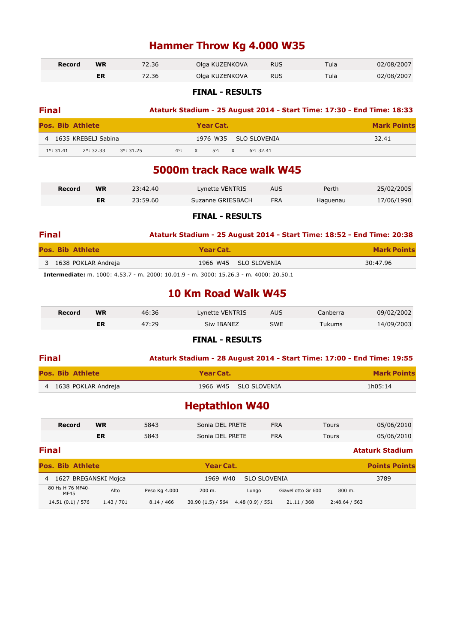## **Hammer Throw Kg 4.000 W35**

| Record | <b>WR</b> | 72.36 | Olga KUZENKOVA | <b>RUS</b> | Tula | 02/08/2007 |
|--------|-----------|-------|----------------|------------|------|------------|
|        | ER        | 72.36 | Olga KUZENKOVA | <b>RUS</b> | Tula | 02/08/2007 |

#### **FINAL - RESULTS**

| <b>Final</b>      |                         |                     | Ataturk Stadium - 25 August 2014 - Start Time: 17:30 - End Time: 18:33 |                 |           |  |                       |  |                    |
|-------------------|-------------------------|---------------------|------------------------------------------------------------------------|-----------------|-----------|--|-----------------------|--|--------------------|
|                   | <b>Pos. Bib Athlete</b> |                     |                                                                        |                 | Year Cat. |  |                       |  | <b>Mark Points</b> |
|                   | 4 1635 KREBELJ Sabina   |                     |                                                                        |                 |           |  | 1976 W35 SLO SLOVENIA |  | 32.41              |
| $1^\circ$ : 31.41 | $2^{\circ}$ : 32.33     | $3^{\circ}$ : 31.25 |                                                                        | $4^{\circ}$ : X | 5°: X     |  | $6^{\circ}$ : 32.41   |  |                    |

### **5000m track Race walk W45**

| Record | WR | 23:42.40 | Lynette VENTRIS   | AUS | Perth    | 25/02/2005 |
|--------|----|----------|-------------------|-----|----------|------------|
|        | ER | 23:59.60 | Suzanne GRIESBACH | FRA | Haquenau | 17/06/1990 |

#### **FINAL - RESULTS**

| <b>Final</b>            | Ataturk Stadium - 25 August 2014 - Start Time: 18:52 - End Time: 20:38                                                                                                   |                    |
|-------------------------|--------------------------------------------------------------------------------------------------------------------------------------------------------------------------|--------------------|
| <b>Pos. Bib Athlete</b> | Year Cat.                                                                                                                                                                | <b>Mark Points</b> |
| 3 1638 POKLAR Andreja   | 1966 W45 SLO SLOVENIA                                                                                                                                                    | 30:47.96           |
|                         | $\begin{array}{ccc}\n\bullet & \bullet & \bullet & \bullet & \bullet & \bullet & \bullet\n\end{array}$<br>---- -----<br>$\sim$ $\sim$ $\sim$ $\sim$ $\sim$ $\sim$ $\sim$ |                    |

**Intermediate:** m. 1000: 4.53.7 - m. 2000: 10.01.9 - m. 3000: 15.26.3 - m. 4000: 20.50.1

### **10 Km Road Walk W45**

| Record | <b>WR</b> | 46:36 | Lynette VENTRIS | AUS        | Canberra | 09/02/2002 |
|--------|-----------|-------|-----------------|------------|----------|------------|
|        | ER        | 47:29 | Siw IBANEZ      | <b>SWE</b> | Tukums   | 14/09/2003 |

#### **FINAL - RESULTS**

| <b>Final</b>          |           |                       | Ataturk Stadium - 28 August 2014 - Start Time: 17:00 - End Time: 19:55 |
|-----------------------|-----------|-----------------------|------------------------------------------------------------------------|
| Pos. Bib Athlete      | Year Cat. |                       | <b>Mark Points</b>                                                     |
| 4 1638 POKLAR Andreja |           | 1966 W45 SLO SLOVENIA | 1h05:14                                                                |

### **Heptathlon W40**

| <b>Record</b> | WR | 5843 | Sonia DEL PRETE | <b>FRA</b> | Tours | 05/06/2010 |
|---------------|----|------|-----------------|------------|-------|------------|
|               | ER | 5843 | Sonia DEL PRETE | <b>FRA</b> | Tours | 05/06/2010 |

| <b>Final</b>              |            |               |                |                 |                    |               | <b>Ataturk Stadium</b> |
|---------------------------|------------|---------------|----------------|-----------------|--------------------|---------------|------------------------|
| <b>Pos. Bib Athlete</b>   |            |               | Year Cat.      |                 |                    |               | <b>Points Points</b>   |
| 1627 BREGANSKI Mojca<br>4 |            |               | 1969 W40       | SLO SLOVENIA    |                    |               | 3789                   |
| 80 Hs H 76 MF40-<br>MF45  | Alto       | Peso Kg 4.000 | 200 m.         | Lungo           | Giavellotto Gr 600 | 800 m.        |                        |
| 14.51(0.1)/576            | 1.43 / 701 | 8.14 / 466    | 30.90(1.5)/564 | 4.48(0.9) / 551 | 21.11 / 368        | 2:48.64 / 563 |                        |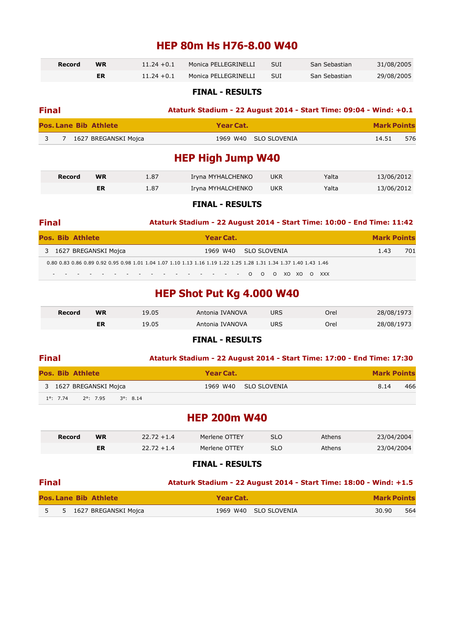### **HEP 80m Hs H76-8.00 W40**

| Record | <b>WR</b> | $11.24 + 0.1$ | Monica PELLEGRINELLI | <b>SUI</b> | San Sebastian | 31/08/2005 |
|--------|-----------|---------------|----------------------|------------|---------------|------------|
|        |           | $11.24 + 0.1$ | Monica PELLEGRINELLI | SUI        | San Sebastian | 29/08/2005 |

#### **FINAL - RESULTS**

| <b>Final</b> |  |                              |           | Ataturk Stadium - 22 August 2014 - Start Time: 09:04 - Wind: +0.1 |                    |
|--------------|--|------------------------------|-----------|-------------------------------------------------------------------|--------------------|
|              |  | <b>Pos. Lane Bib Athlete</b> | Year Cat. |                                                                   | <b>Mark Points</b> |
|              |  | 3 7 1627 BREGANSKI Mojca     |           | 1969 W40 SLO SLOVENIA                                             | 576<br>14.51       |

### **HEP High Jump W40**

| Record | <b>WR</b> | 1.87 | Iryna MYHALCHENKO | <b>UKR</b> | Yalta | 13/06/2012 |
|--------|-----------|------|-------------------|------------|-------|------------|
|        | ER        | 1.87 | Iryna MYHALCHENKO | <b>UKR</b> | Yalta | 13/06/2012 |

#### **FINAL - RESULTS**

| <b>Final</b> |  |                                                                                                                    |  |  |  |                       |  |  |  |  |  |  | Ataturk Stadium - 22 August 2014 - Start Time: 10:00 - End Time: 11:42 |     |
|--------------|--|--------------------------------------------------------------------------------------------------------------------|--|--|--|-----------------------|--|--|--|--|--|--|------------------------------------------------------------------------|-----|
|              |  | <b>Pos. Bib Athlete</b>                                                                                            |  |  |  | Year Cat.             |  |  |  |  |  |  | <b>Mark Points</b>                                                     |     |
|              |  | 3 1627 BREGANSKI Mojca                                                                                             |  |  |  | 1969 W40 SLO SLOVENIA |  |  |  |  |  |  | 1.43                                                                   | 701 |
|              |  | 0.80 0.83 0.86 0.89 0.92 0.95 0.98 1.01 1.04 1.07 1.10 1.13 1.16 1.19 1.22 1.25 1.28 1.31 1.34 1.37 1.40 1.43 1.46 |  |  |  |                       |  |  |  |  |  |  |                                                                        |     |
|              |  | - - - - - - - - - - - - - - - - 0 0 0 XO XO O XXX                                                                  |  |  |  |                       |  |  |  |  |  |  |                                                                        |     |

## **HEP Shot Put Kg 4.000 W40**

| Record | <b>WR</b> | 19.05 | Antonia IVANOVA | URS | Orel | 28/08/1973 |
|--------|-----------|-------|-----------------|-----|------|------------|
|        | ER        | 19.05 | Antonia IVANOVA | URS | Orel | 28/08/1973 |

#### **FINAL - RESULTS**

| <b>Final</b> |                    |                                |           |                       | Ataturk Stadium - 22 August 2014 - Start Time: 17:00 - End Time: 17:30 |
|--------------|--------------------|--------------------------------|-----------|-----------------------|------------------------------------------------------------------------|
|              |                    | <b>Pos. Bib Athlete</b>        | Year Cat. |                       | <b>Mark Points</b>                                                     |
|              |                    | 3 1627 BREGANSKI Mojca         |           | 1969 W40 SLO SLOVENIA | 466<br>8.14                                                            |
|              | $1^{\circ}$ : 7.74 | 2°: 7.95<br>$3^{\circ}$ : 8.14 |           |                       |                                                                        |

### **HEP 200m W40**

| Record | <b>WR</b> | $22.72 + 1.4$ | Merlene OTTEY | SLO | Athens | 23/04/2004 |
|--------|-----------|---------------|---------------|-----|--------|------------|
|        |           | $22.72 + 1.4$ | Merlene OTTEY | SLO | Athens | 23/04/2004 |

#### **FINAL - RESULTS**

| <b>Final</b> |                              | Ataturk Stadium - 22 August 2014 - Start Time: 18:00 - Wind: +1.5 |                    |
|--------------|------------------------------|-------------------------------------------------------------------|--------------------|
|              | <b>Pos. Lane Bib Athlete</b> | Year Cat.                                                         | <b>Mark Points</b> |
|              | 5 5 1627 BREGANSKI Mojca     | 1969 W40 SLO SLOVENIA                                             | 564<br>30.90       |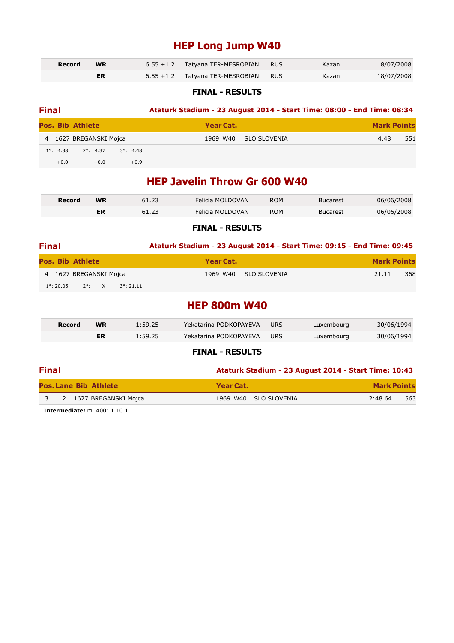## **HEP Long Jump W40**

| Record | <b>WR</b> | $6.55 + 1.2$ Tatyana TER-MESROBIAN | RUS | Kazan | 18/07/2008 |
|--------|-----------|------------------------------------|-----|-------|------------|
|        |           | 6.55 +1.2 Tatyana TER-MESROBIAN    | RUS | Kazan | 18/07/2008 |

#### **FINAL - RESULTS**

| <b>Final</b> |                    |                         |                    |           |              | Ataturk Stadium - 23 August 2014 - Start Time: 08:00 - End Time: 08:34 |
|--------------|--------------------|-------------------------|--------------------|-----------|--------------|------------------------------------------------------------------------|
|              |                    | <b>Pos. Bib Athlete</b> |                    | Year Cat. |              | <b>Mark Points</b>                                                     |
|              |                    | 4 1627 BREGANSKI Mojca  |                    | 1969 W40  | SLO SLOVENIA | 551<br>4.48                                                            |
|              | $1^{\circ}$ : 4.38 | $2^{\circ}$ : 4.37      | $3^{\circ}$ : 4.48 |           |              |                                                                        |
|              | $+0.0$             | $+0.0$                  | $+0.9$             |           |              |                                                                        |

### **HEP Javelin Throw Gr 600 W40**

| Record | WR | 61.23 | Felicia MOLDOVAN | <b>ROM</b> | <b>Bucarest</b> | 06/06/2008 |
|--------|----|-------|------------------|------------|-----------------|------------|
|        | ER |       | Felicia MOLDOVAN | <b>ROM</b> | Bucarest        | 06/06/2008 |

#### **FINAL - RESULTS**

| <b>Final</b>            |                 |  |                     | Ataturk Stadium - 23 August 2014 - Start Time: 09:15 - End Time: 09:45 |           |                       |       |                    |
|-------------------------|-----------------|--|---------------------|------------------------------------------------------------------------|-----------|-----------------------|-------|--------------------|
| <b>Pos. Bib Athlete</b> |                 |  |                     |                                                                        | Year Cat. |                       |       | <b>Mark Points</b> |
| 4 1627 BREGANSKI Mojca  |                 |  |                     |                                                                        |           | 1969 W40 SLO SLOVENIA | 21.11 | 368                |
| $1^{\circ}$ : 20.05     | $2^{\circ}$ : X |  | $3^{\circ}$ : 21.11 |                                                                        |           |                       |       |                    |
|                         |                 |  |                     |                                                                        |           |                       |       |                    |

### **HEP 800m W40**

| Record | <b>WR</b> | 1:59.25 | Yekatarina PODKOPAYEVA | <b>URS</b> | Luxembourg | 30/06/1994 |
|--------|-----------|---------|------------------------|------------|------------|------------|
|        | ER        | 1:59.25 | Yekatarina PODKOPAYEVA | URS        | Luxembourg | 30/06/1994 |

#### **FINAL - RESULTS**

| <b>Final</b> |  |                              |                       | Ataturk Stadium - 23 August 2014 - Start Time: 10:43 |  |  |  |  |  |
|--------------|--|------------------------------|-----------------------|------------------------------------------------------|--|--|--|--|--|
|              |  | <b>Pos. Lane Bib Athlete</b> | Year Cat.             | <b>Mark Points</b>                                   |  |  |  |  |  |
| $\sqrt{3}$   |  | 2 1627 BREGANSKI Mojca       | 1969 W40 SLO SLOVENIA | 563<br>2:48.64                                       |  |  |  |  |  |

**Intermediate:** m. 400: 1.10.1